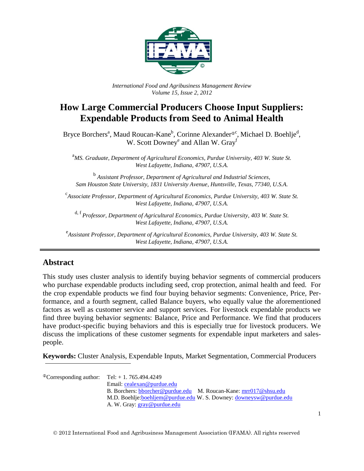

*International Food and Agribusiness Management Review Volume 15, Issue 2, 2012*

# **How Large Commercial Producers Choose Input Suppliers: Expendable Products from Seed to Animal Health**

Bryce Borchers<sup>a</sup>, Maud Roucan-Kane<sup>b</sup>, Corinne Alexander<sup>®c</sup>, Michael D. Boehlje<sup>d</sup>, W. Scott Downey<sup>e</sup> and Allan W. Gray<sup>f</sup>

<sup>a</sup>*MS. Graduate, Department of Agricultural Economics, Purdue University, 403 W. State St. West Lafayette, Indiana, 47907, U.S.A.*

b *Assistant Professor, Department of Agricultural and Industrial Sciences, Sam Houston State University, 1831 University Avenue, Huntsville, Texas, 77340, U.S.A.*

c *Associate Professor, Department of Agricultural Economics, Purdue University, 403 W. State St. West Lafayette, Indiana, 47907, U.S.A.*

d, <sup>f</sup>*Professor, Department of Agricultural Economics, Purdue University, 403 W. State St. West Lafayette, Indiana, 47907, U.S.A.*

e *Assistant Professor, Department of Agricultural Economics, Purdue University, 403 W. State St. West Lafayette, Indiana, 47907, U.S.A.*

# **Abstract**

This study uses cluster analysis to identify buying behavior segments of commercial producers who purchase expendable products including seed, crop protection, animal health and feed. For the crop expendable products we find four buying behavior segments: Convenience, Price, Performance, and a fourth segment, called Balance buyers, who equally value the aforementioned factors as well as customer service and support services. For livestock expendable products we find three buying behavior segments: Balance, Price and Performance. We find that producers have product-specific buying behaviors and this is especially true for livestock producers. We discuss the implications of these customer segments for expendable input marketers and salespeople.

**Keywords:** Cluster Analysis, Expendable Inputs, Market Segmentation, Commercial Producers

 $^{\circ}$ Corresponding author: Tel: + 1. 765.494.4249 Email: [cealexan@purdue.edu](mailto:cealexan@purdue.edu) B. Borchers: [bborcher@purdue.edu](mailto:bborcher@purdue.edu) M. Roucan-Kane[: mrr017@shsu.edu](mailto:mrr017@shsu.edu) M.D. Boehlje[:boehljem@purdue.edu](mailto:boehljem@purdue.edu) W. S. Downey: [downeysw@purdue.edu](mailto:downeysw@purdue.edu) A. W. Gray: [gray@purdue.edu](mailto:gray@purdue.edu)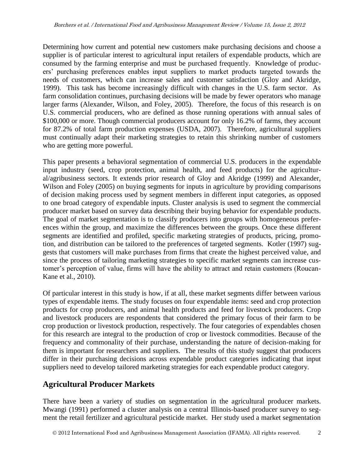Determining how current and potential new customers make purchasing decisions and choose a supplier is of particular interest to agricultural input retailers of expendable products, which are consumed by the farming enterprise and must be purchased frequently. Knowledge of producers' purchasing preferences enables input suppliers to market products targeted towards the needs of customers, which can increase sales and customer satisfaction (Gloy and Akridge, 1999). This task has become increasingly difficult with changes in the U.S. farm sector. As farm consolidation continues, purchasing decisions will be made by fewer operators who manage larger farms (Alexander, Wilson, and Foley, 2005). Therefore, the focus of this research is on U.S. commercial producers, who are defined as those running operations with annual sales of \$100,000 or more. Though commercial producers account for only 16.2% of farms, they account for 87.2% of total farm production expenses (USDA, 2007). Therefore, agricultural suppliers must continually adapt their marketing strategies to retain this shrinking number of customers who are getting more powerful.

This paper presents a behavioral segmentation of commercial U.S. producers in the expendable input industry (seed, crop protection, animal health, and feed products) for the agricultural/agribusiness sectors. It extends prior research of Gloy and Akridge (1999) and Alexander, Wilson and Foley (2005) on buying segments for inputs in agriculture by providing comparisons of decision making process used by segment members in different input categories, as opposed to one broad category of expendable inputs. Cluster analysis is used to segment the commercial producer market based on survey data describing their buying behavior for expendable products. The goal of market segmentation is to classify producers into groups with homogeneous preferences within the group, and maximize the differences between the groups. Once these different segments are identified and profiled, specific marketing strategies of products, pricing, promotion, and distribution can be tailored to the preferences of targeted segments. Kotler (1997) suggests that customers will make purchases from firms that create the highest perceived value, and since the process of tailoring marketing strategies to specific market segments can increase customer's perception of value, firms will have the ability to attract and retain customers (Roucan-Kane et al., 2010).

Of particular interest in this study is how, if at all, these market segments differ between various types of expendable items. The study focuses on four expendable items: seed and crop protection products for crop producers, and animal health products and feed for livestock producers. Crop and livestock producers are respondents that considered the primary focus of their farm to be crop production or livestock production, respectively. The four categories of expendables chosen for this research are integral to the production of crop or livestock commodities. Because of the frequency and commonality of their purchase, understanding the nature of decision-making for them is important for researchers and suppliers. The results of this study suggest that producers differ in their purchasing decisions across expendable product categories indicating that input suppliers need to develop tailored marketing strategies for each expendable product category.

# **Agricultural Producer Markets**

There have been a variety of studies on segmentation in the agricultural producer markets. Mwangi (1991) performed a cluster analysis on a central Illinois-based producer survey to segment the retail fertilizer and agricultural pesticide market. Her study used a market segmentation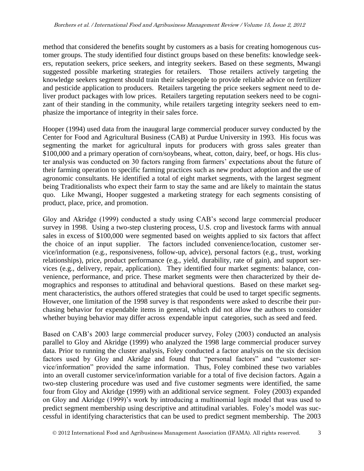method that considered the benefits sought by customers as a basis for creating homogenous customer groups. The study identified four distinct groups based on these benefits: knowledge seekers, reputation seekers, price seekers, and integrity seekers. Based on these segments, Mwangi suggested possible marketing strategies for retailers. Those retailers actively targeting the knowledge seekers segment should train their salespeople to provide reliable advice on fertilizer and pesticide application to producers. Retailers targeting the price seekers segment need to deliver product packages with low prices. Retailers targeting reputation seekers need to be cognizant of their standing in the community, while retailers targeting integrity seekers need to emphasize the importance of integrity in their sales force.

Hooper (1994) used data from the inaugural large commercial producer survey conducted by the Center for Food and Agricultural Business (CAB) at Purdue University in 1993. His focus was segmenting the market for agricultural inputs for producers with gross sales greater than \$100,000 and a primary operation of corn/soybeans, wheat, cotton, dairy, beef, or hogs. His cluster analysis was conducted on 30 factors ranging from farmers' expectations about the future of their farming operation to specific farming practices such as new product adoption and the use of agronomic consultants. He identified a total of eight market segments, with the largest segment being Traditionalists who expect their farm to stay the same and are likely to maintain the status quo. Like Mwangi, Hooper suggested a marketing strategy for each segments consisting of product, place, price, and promotion.

Gloy and Akridge (1999) conducted a study using CAB's second large commercial producer survey in 1998. Using a two-step clustering process, U.S. crop and livestock farms with annual sales in excess of \$100,000 were segmented based on weights applied to six factors that affect the choice of an input supplier. The factors included convenience/location, customer service/information (e.g., responsiveness, follow-up, advice), personal factors (e.g., trust, working relationships), price, product performance (e.g., yield, durability, rate of gain), and support services (e.g., delivery, repair, application). They identified four market segments: balance, convenience, performance, and price. These market segments were then characterized by their demographics and responses to attitudinal and behavioral questions. Based on these market segment characteristics, the authors offered strategies that could be used to target specific segments. However, one limitation of the 1998 survey is that respondents were asked to describe their purchasing behavior for expendable items in general, which did not allow the authors to consider whether buying behavior may differ across expendable input categories, such as seed and feed.

Based on CAB's 2003 large commercial producer survey, Foley (2003) conducted an analysis parallel to Gloy and Akridge (1999) who analyzed the 1998 large commercial producer survey data. Prior to running the cluster analysis, Foley conducted a factor analysis on the six decision factors used by Gloy and Akridge and found that "personal factors" and "customer service/information" provided the same information. Thus, Foley combined these two variables into an overall customer service/information variable for a total of five decision factors. Again a two-step clustering procedure was used and five customer segments were identified, the same four from Gloy and Akridge (1999) with an additional service segment. Foley (2003) expanded on Gloy and Akridge (1999)'s work by introducing a multinomial logit model that was used to predict segment membership using descriptive and attitudinal variables. Foley's model was successful in identifying characteristics that can be used to predict segment membership. The 2003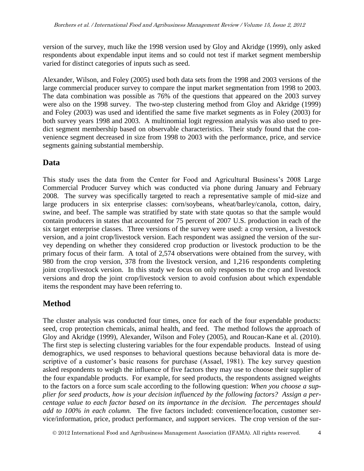version of the survey, much like the 1998 version used by Gloy and Akridge (1999), only asked respondents about expendable input items and so could not test if market segment membership varied for distinct categories of inputs such as seed.

Alexander, Wilson, and Foley (2005) used both data sets from the 1998 and 2003 versions of the large commercial producer survey to compare the input market segmentation from 1998 to 2003. The data combination was possible as 76% of the questions that appeared on the 2003 survey were also on the 1998 survey. The two-step clustering method from Gloy and Akridge (1999) and Foley (2003) was used and identified the same five market segments as in Foley (2003) for both survey years 1998 and 2003. A multinomial logit regression analysis was also used to predict segment membership based on observable characteristics. Their study found that the convenience segment decreased in size from 1998 to 2003 with the performance, price, and service segments gaining substantial membership.

# **Data**

This study uses the data from the Center for Food and Agricultural Business's 2008 Large Commercial Producer Survey which was conducted via phone during January and February 2008. The survey was specifically targeted to reach a representative sample of mid-size and large producers in six enterprise classes: corn/soybeans, wheat/barley/canola, cotton, dairy, swine, and beef. The sample was stratified by state with state quotas so that the sample would contain producers in states that accounted for 75 percent of 2007 U.S. production in each of the six target enterprise classes. Three versions of the survey were used: a crop version, a livestock version, and a joint crop/livestock version. Each respondent was assigned the version of the survey depending on whether they considered crop production or livestock production to be the primary focus of their farm. A total of 2,574 observations were obtained from the survey, with 980 from the crop version, 378 from the livestock version, and 1,216 respondents completing joint crop/livestock version. In this study we focus on only responses to the crop and livestock versions and drop the joint crop/livestock version to avoid confusion about which expendable items the respondent may have been referring to.

# **Method**

The cluster analysis was conducted four times, once for each of the four expendable products: seed, crop protection chemicals, animal health, and feed. The method follows the approach of Gloy and Akridge (1999), Alexander, Wilson and Foley (2005), and Roucan-Kane et al. (2010). The first step is selecting clustering variables for the four expendable products. Instead of using demographics, we used responses to behavioral questions because behavioral data is more descriptive of a customer's basic reasons for purchase (Assael, 1981). The key survey question asked respondents to weigh the influence of five factors they may use to choose their supplier of the four expandable products. For example, for seed products, the respondents assigned weights to the factors on a force sum scale according to the following question: *When you choose a supplier for seed products, how is your decision influenced by the following factors? Assign a percentage value to each factor based on its importance in the decision. The percentages should add to 100% in each column.* The five factors included: convenience/location, customer service/information, price, product performance, and support services. The crop version of the sur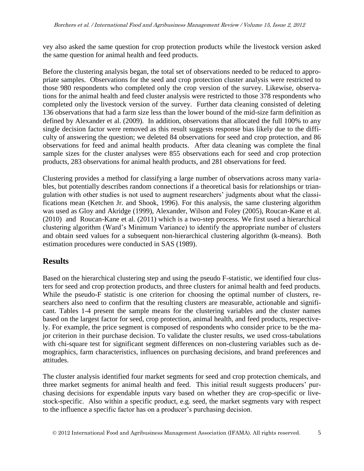vey also asked the same question for crop protection products while the livestock version asked the same question for animal health and feed products.

Before the clustering analysis began, the total set of observations needed to be reduced to appropriate samples. Observations for the seed and crop protection cluster analysis were restricted to those 980 respondents who completed only the crop version of the survey. Likewise, observations for the animal health and feed cluster analysis were restricted to those 378 respondents who completed only the livestock version of the survey. Further data cleaning consisted of deleting 136 observations that had a farm size less than the lower bound of the mid-size farm definition as defined by Alexander et al. (2009). In addition, observations that allocated the full 100% to any single decision factor were removed as this result suggests response bias likely due to the difficulty of answering the question; we deleted 84 observations for seed and crop protection, and 86 observations for feed and animal health products. After data cleaning was complete the final sample sizes for the cluster analyses were 855 observations each for seed and crop protection products, 283 observations for animal health products, and 281 observations for feed.

Clustering provides a method for classifying a large number of observations across many variables, but potentially describes random connections if a theoretical basis for relationships or triangulation with other studies is not used to augment researchers' judgments about what the classifications mean (Ketchen Jr. and Shook, 1996). For this analysis, the same clustering algorithm was used as Gloy and Akridge (1999), Alexander, Wilson and Foley (2005), Roucan-Kane et al. (2010) and Roucan-Kane et al. (2011) which is a two-step process. We first used a hierarchical clustering algorithm (Ward's Minimum Variance) to identify the appropriate number of clusters and obtain seed values for a subsequent non-hierarchical clustering algorithm (k-means). Both estimation procedures were conducted in SAS (1989).

# **Results**

Based on the hierarchical clustering step and using the pseudo F-statistic, we identified four clusters for seed and crop protection products, and three clusters for animal health and feed products. While the pseudo-F statistic is one criterion for choosing the optimal number of clusters, researchers also need to confirm that the resulting clusters are measurable, actionable and significant. Tables 1-4 present the sample means for the clustering variables and the cluster names based on the largest factor for seed, crop protection, animal health, and feed products, respectively. For example, the price segment is composed of respondents who consider price to be the major criterion in their purchase decision. To validate the cluster results, we used cross-tabulations with chi-square test for significant segment differences on non-clustering variables such as demographics, farm characteristics, influences on purchasing decisions, and brand preferences and attitudes.

The cluster analysis identified four market segments for seed and crop protection chemicals, and three market segments for animal health and feed. This initial result suggests producers' purchasing decisions for expendable inputs vary based on whether they are crop-specific or livestock-specific. Also within a specific product, e.g. seed, the market segments vary with respect to the influence a specific factor has on a producer's purchasing decision.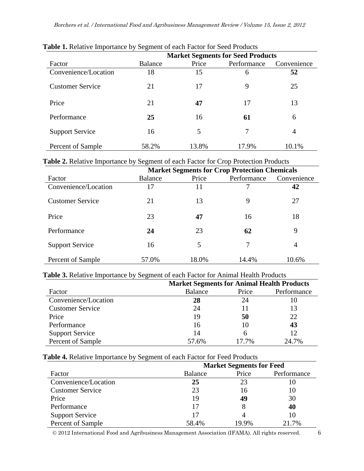| <b>Table 1.</b> Netally emportance by Segment of each ractor for Seed Products |                                          |       |             |             |  |  |  |  |
|--------------------------------------------------------------------------------|------------------------------------------|-------|-------------|-------------|--|--|--|--|
|                                                                                | <b>Market Segments for Seed Products</b> |       |             |             |  |  |  |  |
| Factor                                                                         | Balance                                  | Price | Performance | Convenience |  |  |  |  |
| Convenience/Location                                                           | 18                                       | 15    | 6           | 52          |  |  |  |  |
| <b>Customer Service</b>                                                        | 21                                       | 17    | 9           | 25          |  |  |  |  |
| Price                                                                          | 21                                       | 47    | 17          | 13          |  |  |  |  |
| Performance                                                                    | 25                                       | 16    | 61          | 6           |  |  |  |  |
| <b>Support Service</b>                                                         | 16                                       | 5     | 7           | 4           |  |  |  |  |
| Percent of Sample                                                              | 58.2%                                    | 13.8% | 17.9%       | 10.1%       |  |  |  |  |

# **Table 1.** Relative Importance by Segment of each Factor for Seed Products

# **Table 2.** Relative Importance by Segment of each Factor for Crop Protection Products

|                         | <b>Market Segments for Crop Protection Chemicals</b> |       |             |             |  |  |  |
|-------------------------|------------------------------------------------------|-------|-------------|-------------|--|--|--|
| Factor                  | <b>Balance</b>                                       | Price | Performance | Convenience |  |  |  |
| Convenience/Location    | 17                                                   | 11    |             | 42          |  |  |  |
| <b>Customer Service</b> | 21                                                   | 13    | 9           | 27          |  |  |  |
| Price                   | 23                                                   | 47    | 16          | 18          |  |  |  |
| Performance             | 24                                                   | 23    | 62          | 9           |  |  |  |
| <b>Support Service</b>  | 16                                                   | 5     | 7           | 4           |  |  |  |
| Percent of Sample       | 57.0%                                                | 18.0% | 14.4%       | 10.6%       |  |  |  |

## **Table 3.** Relative Importance by Segment of each Factor for Animal Health Products

|                         | <b>Market Segments for Animal Health Products</b> |       |             |  |  |  |  |
|-------------------------|---------------------------------------------------|-------|-------------|--|--|--|--|
| Factor                  | <b>Balance</b>                                    | Price | Performance |  |  |  |  |
| Convenience/Location    | 28                                                | 24    | 10          |  |  |  |  |
| <b>Customer Service</b> | 24                                                |       | 13          |  |  |  |  |
| Price                   | 19                                                | 50    | 22          |  |  |  |  |
| Performance             | 16                                                | 10    | 43          |  |  |  |  |
| <b>Support Service</b>  | 14                                                | 6     | 12          |  |  |  |  |
| Percent of Sample       | 57.6%                                             | 17.7% | 24.7%       |  |  |  |  |

## **Table 4.** Relative Importance by Segment of each Factor for Feed Products

|                         | <b>Market Segments for Feed</b> |       |             |  |  |  |
|-------------------------|---------------------------------|-------|-------------|--|--|--|
| Factor                  | Balance                         | Price | Performance |  |  |  |
| Convenience/Location    | 25                              | 23    | Ю           |  |  |  |
| <b>Customer Service</b> | 23                              | 16    | 10          |  |  |  |
| Price                   | 19                              | 49    | 30          |  |  |  |
| Performance             | 17                              |       | 40          |  |  |  |
| <b>Support Service</b>  | 17                              |       | 10          |  |  |  |
| Percent of Sample       | 58.4%                           | 19.9% | 21.7%       |  |  |  |

2012 International Food and Agribusiness Management Association (IFAMA). All rights reserved. 6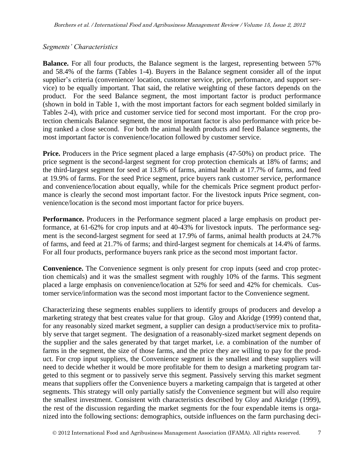## *Segments' Characteristics*

**Balance.** For all four products, the Balance segment is the largest, representing between 57% and 58.4% of the farms (Tables 1-4). Buyers in the Balance segment consider all of the input supplier's criteria (convenience/ location, customer service, price, performance, and support service) to be equally important. That said, the relative weighting of these factors depends on the product. For the seed Balance segment, the most important factor is product performance (shown in bold in Table 1, with the most important factors for each segment bolded similarly in Tables 2-4), with price and customer service tied for second most important. For the crop protection chemicals Balance segment, the most important factor is also performance with price being ranked a close second. For both the animal health products and feed Balance segments, the most important factor is convenience/location followed by customer service.

**Price.** Producers in the Price segment placed a large emphasis (47-50%) on product price. The price segment is the second-largest segment for crop protection chemicals at 18% of farms; and the third-largest segment for seed at 13.8% of farms, animal health at 17.7% of farms, and feed at 19.9% of farms. For the seed Price segment, price buyers rank customer service, performance and convenience/location about equally, while for the chemicals Price segment product performance is clearly the second most important factor. For the livestock inputs Price segment, convenience/location is the second most important factor for price buyers.

**Performance.** Producers in the Performance segment placed a large emphasis on product performance, at 61-62% for crop inputs and at 40-43% for livestock inputs. The performance segment is the second-largest segment for seed at 17.9% of farms, animal health products at 24.7% of farms, and feed at 21.7% of farms; and third-largest segment for chemicals at 14.4% of farms. For all four products, performance buyers rank price as the second most important factor.

**Convenience.** The Convenience segment is only present for crop inputs (seed and crop protection chemicals) and it was the smallest segment with roughly 10% of the farms. This segment placed a large emphasis on convenience/location at 52% for seed and 42% for chemicals. Customer service/information was the second most important factor to the Convenience segment.

Characterizing these segments enables suppliers to identify groups of producers and develop a marketing strategy that best creates value for that group. Gloy and Akridge (1999) contend that, for any reasonably sized market segment, a supplier can design a product/service mix to profitably serve that target segment. The designation of a reasonably-sized market segment depends on the supplier and the sales generated by that target market, i.e. a combination of the number of farms in the segment, the size of those farms, and the price they are willing to pay for the product. For crop input suppliers, the Convenience segment is the smallest and these suppliers will need to decide whether it would be more profitable for them to design a marketing program targeted to this segment or to passively serve this segment. Passively serving this market segment means that suppliers offer the Convenience buyers a marketing campaign that is targeted at other segments. This strategy will only partially satisfy the Convenience segment but will also require the smallest investment. Consistent with characteristics described by Gloy and Akridge (1999), the rest of the discussion regarding the market segments for the four expendable items is organized into the following sections: demographics, outside influences on the farm purchasing deci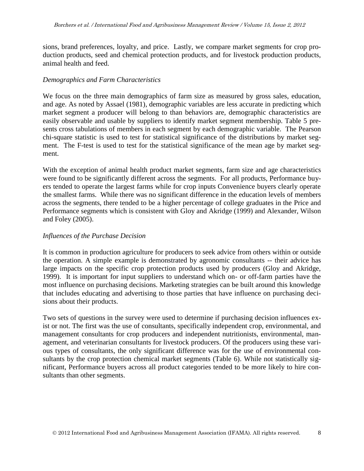sions, brand preferences, loyalty, and price. Lastly, we compare market segments for crop production products, seed and chemical protection products, and for livestock production products, animal health and feed.

# *Demographics and Farm Characteristics*

We focus on the three main demographics of farm size as measured by gross sales, education, and age. As noted by Assael (1981), demographic variables are less accurate in predicting which market segment a producer will belong to than behaviors are, demographic characteristics are easily observable and usable by suppliers to identify market segment membership. Table 5 presents cross tabulations of members in each segment by each demographic variable. The Pearson chi-square statistic is used to test for statistical significance of the distributions by market segment. The F-test is used to test for the statistical significance of the mean age by market segment.

With the exception of animal health product market segments, farm size and age characteristics were found to be significantly different across the segments. For all products, Performance buyers tended to operate the largest farms while for crop inputs Convenience buyers clearly operate the smallest farms. While there was no significant difference in the education levels of members across the segments, there tended to be a higher percentage of college graduates in the Price and Performance segments which is consistent with Gloy and Akridge (1999) and Alexander, Wilson and Foley (2005).

## *Influences of the Purchase Decision*

It is common in production agriculture for producers to seek advice from others within or outside the operation. A simple example is demonstrated by agronomic consultants -- their advice has large impacts on the specific crop protection products used by producers (Gloy and Akridge, 1999). It is important for input suppliers to understand which on- or off-farm parties have the most influence on purchasing decisions. Marketing strategies can be built around this knowledge that includes educating and advertising to those parties that have influence on purchasing decisions about their products.

Two sets of questions in the survey were used to determine if purchasing decision influences exist or not. The first was the use of consultants, specifically independent crop, environmental, and management consultants for crop producers and independent nutritionists, environmental, management, and veterinarian consultants for livestock producers. Of the producers using these various types of consultants, the only significant difference was for the use of environmental consultants by the crop protection chemical market segments (Table 6). While not statistically significant, Performance buyers across all product categories tended to be more likely to hire consultants than other segments.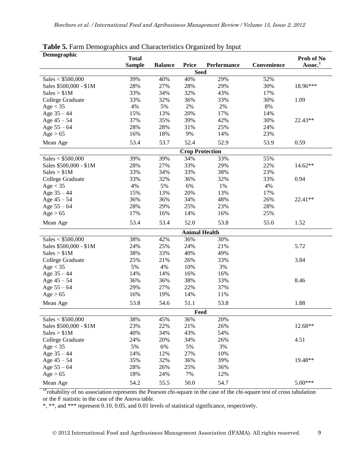| Demographic            |               |                |                        |                    |             |                                   |
|------------------------|---------------|----------------|------------------------|--------------------|-------------|-----------------------------------|
|                        | <b>Total</b>  |                | <b>Price</b>           | <b>Performance</b> | Convenience | Prob of No<br>Assoc. <sup>1</sup> |
|                        | <b>Sample</b> | <b>Balance</b> | <b>Seed</b>            |                    |             |                                   |
| Sales < \$500,000      | 39%           | 40%            | 40%                    | 29%                | 52%         |                                   |
| Sales \$500,000 - \$1M | 28%           | 27%            | 28%                    | 29%                | 30%         | 18.96***                          |
| Sales > \$1M           | 33%           | 34%            | 32%                    | 43%                | 17%         |                                   |
| College Graduate       | 33%           | 32%            | 36%                    | 33%                | 30%         | 1.09                              |
| Age < 35               | 4%            | 5%             | $2\%$                  | 2%                 | $8\%$       |                                   |
| Age $35 - 44$          | 15%           | 13%            | 20%                    | 17%                | 14%         |                                   |
| Age $45 - 54$          | 37%           | 35%            | 39%                    | 42%                | 30%         | 22.43**                           |
| Age $55 - 64$          | 28%           | 28%            | 31%                    | 25%                | 24%         |                                   |
| Age > 65               | 16%           | 18%            | 9%                     | 14%                | 23%         |                                   |
|                        | 53.4          | 53.7           | 52.4                   | 52.9               | 53.9        | 0.59                              |
| Mean Age               |               |                |                        |                    |             |                                   |
|                        |               |                | <b>Crop Protection</b> |                    |             |                                   |
| Sales < \$500,000      | 39%           | 39%            | 34%                    | 33%                | 55%         |                                   |
| Sales \$500,000 - \$1M | 28%           | 27%            | 33%                    | 29%                | 22%         | $14.62**$                         |
| Sales > \$1M           | 33%           | 34%            | 33%                    | 38%                | 23%         |                                   |
| College Graduate       | 33%           | 32%            | 36%                    | 32%                | 33%         | 0.94                              |
| Age < 35               | 4%            | 5%             | 6%                     | $1\%$              | 4%          |                                   |
| Age $35 - 44$          | 15%           | 13%            | 20%                    | 13%                | 17%         |                                   |
| Age $45 - 54$          | 36%           | 36%            | 34%                    | 48%                | 26%         | 22.41**                           |
| Age $55 - 64$          | 28%           | 29%            | 25%                    | 23%                | 28%         |                                   |
| Age > 65               | 17%           | 16%            | 14%                    | 16%                | 25%         |                                   |
| Mean Age               | 53.4          | 53.4           | 52.0                   | 53.8               | 55.0        | 1.52                              |
|                        |               |                | <b>Animal Health</b>   |                    |             |                                   |
| Sales < \$500,000      | 38%           | 42%            | 36%                    | 30%                |             |                                   |
| Sales \$500,000 - \$1M | 24%           | 25%            | 24%                    | 21%                |             | 5.72                              |
| Sales > \$1M           | 38%           | 33%            | 40%                    | 49%                |             |                                   |
| College Graduate       | 25%           | 21%            | 26%                    | 33%                |             | 3.84                              |
| Age < 35               | 5%            | 4%             | 10%                    | 3%                 |             |                                   |
| Age $35 - 44$          | 14%           | 14%            | 16%                    | 16%                |             |                                   |
| Age $45 - 54$          | 36%           | 36%            | 38%                    | 33%                |             | 8.46                              |
| Age $55 - 64$          | 29%           | 27%            | 22%                    | 37%                |             |                                   |
| Age > 65               | 16%           | 19%            | 14%                    | 11%                |             |                                   |
| Mean Age               | 53.8          | 54.6           | 51.1                   | 53.8               |             | 1.88                              |
|                        |               |                | Feed                   |                    |             |                                   |
| Sales < $$500,000$     | 38%           | 45%            | 36%                    | 20%                |             |                                   |
| Sales \$500,000 - \$1M | 23%           | 22%            | 21%                    | 26%                |             | 12.68**                           |
| Sales > \$1M           | 40%           | 34%            | 43%                    | 54%                |             |                                   |
| College Graduate       | 24%           | 20%            | 34%                    | 26%                |             | 4.51                              |
| Age < 35               | 5%            | $6\%$          | 5%                     | 3%                 |             |                                   |
| Age $35 - 44$          | 14%           | 12%            | 27%                    | 10%                |             |                                   |
| Age $45 - 54$          | 35%           | 32%            | 36%                    | 39%                |             | 19.48**                           |
| Age $55 - 64$          | 28%           | 26%            | 25%                    | 36%                |             |                                   |
| Age > 65               | 18%           | 24%            | 7%                     | 12%                |             |                                   |
| Mean Age               | 54.2          | 55.5           | 50.0                   | 54.7               |             | $5.00***$                         |

#### **Table 5.** Farm Demographics and Characteristics Organized by Input

<sup>1P</sup>robability of no association represents the Pearson chi-square in the case of the chi-square test of cross tabulation or the F statistic in the case of the Anova table.

\*, \*\*, and \*\*\* represent 0.10, 0.05, and 0.01 levels of statistical significance, respectively.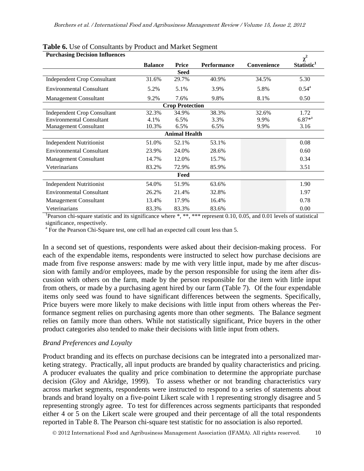| <b>Purchasing Decision Influences</b> |                |                        |                    |             | $\chi^2$               |  |  |  |  |  |
|---------------------------------------|----------------|------------------------|--------------------|-------------|------------------------|--|--|--|--|--|
|                                       | <b>Balance</b> | Price                  | <b>Performance</b> | Convenience | Statistic <sup>1</sup> |  |  |  |  |  |
|                                       |                | <b>Seed</b>            |                    |             |                        |  |  |  |  |  |
| <b>Independent Crop Consultant</b>    | 31.6%          | 29.7%                  | 40.9%              | 34.5%       | 5.30                   |  |  |  |  |  |
| <b>Environmental Consultant</b>       | 5.2%           | 5.1%                   | 3.9%               | 5.8%        | $0.54^{\rm a}$         |  |  |  |  |  |
| <b>Management Consultant</b>          | 9.2%           | 7.6%                   | 9.8%               | 8.1%        | 0.50                   |  |  |  |  |  |
|                                       |                | <b>Crop Protection</b> |                    |             |                        |  |  |  |  |  |
| <b>Independent Crop Consultant</b>    | 32.3%          | 34.9%                  | 38.3%              | 32.6%       | 1.72                   |  |  |  |  |  |
| <b>Environmental Consultant</b>       | 4.1%           | 6.5%                   | 3.3%               | 9.9%        | $6.87*^{a}$            |  |  |  |  |  |
| <b>Management Consultant</b>          | 10.3%          | 6.5%                   | 6.5%               | 9.9%        | 3.16                   |  |  |  |  |  |
|                                       |                | <b>Animal Health</b>   |                    |             |                        |  |  |  |  |  |
| <b>Independent Nutritionist</b>       | 51.0%          | 52.1%                  | 53.1%              |             | 0.08                   |  |  |  |  |  |
| <b>Environmental Consultant</b>       | 23.9%          | 24.0%                  | 28.6%              |             | 0.60                   |  |  |  |  |  |
| <b>Management Consultant</b>          | 14.7%          | 12.0%                  | 15.7%              |             | 0.34                   |  |  |  |  |  |
| Veterinarians                         | 83.2%          | 72.9%                  | 85.9%              |             | 3.51                   |  |  |  |  |  |
| Feed                                  |                |                        |                    |             |                        |  |  |  |  |  |
| <b>Independent Nutritionist</b>       | 54.0%          | 51.9%                  | 63.6%              |             | 1.90                   |  |  |  |  |  |
| <b>Environmental Consultant</b>       | 26.2%          | 21.4%                  | 32.8%              |             | 1.97                   |  |  |  |  |  |
| <b>Management Consultant</b>          | 13.4%          | 17.9%                  | 16.4%              |             | 0.78                   |  |  |  |  |  |
| Veterinarians                         | 83.3%          | 83.3%                  | 83.6%              |             | 0.00                   |  |  |  |  |  |

# **Table 6.** Use of Consultants by Product and Market Segment

<sup>1</sup>Pearson chi-square statistic and its significance where \*, \*\*, \*\*\* represent 0.10, 0.05, and 0.01 levels of statistical significance, respectively.

<sup>a</sup> For the Pearson Chi-Square test, one cell had an expected call count less than 5.

In a second set of questions, respondents were asked about their decision-making process. For each of the expendable items, respondents were instructed to select how purchase decisions are made from five response answers: made by me with very little input, made by me after discussion with family and/or employees, made by the person responsible for using the item after discussion with others on the farm, made by the person responsible for the item with little input from others, or made by a purchasing agent hired by our farm (Table 7). Of the four expendable items only seed was found to have significant differences between the segments. Specifically, Price buyers were more likely to make decisions with little input from others whereas the Performance segment relies on purchasing agents more than other segments. The Balance segment relies on family more than others. While not statistically significant, Price buyers in the other product categories also tended to make their decisions with little input from others.

## *Brand Preferences and Loyalty*

Product branding and its effects on purchase decisions can be integrated into a personalized marketing strategy. Practically, all input products are branded by quality characteristics and pricing. A producer evaluates the quality and price combination to determine the appropriate purchase decision (Gloy and Akridge, 1999). To assess whether or not branding characteristics vary across market segments, respondents were instructed to respond to a series of statements about brands and brand loyalty on a five-point Likert scale with 1 representing strongly disagree and 5 representing strongly agree. To test for differences across segments participants that responded either 4 or 5 on the Likert scale were grouped and their percentage of all the total respondents reported in Table 8. The Pearson chi-square test statistic for no association is also reported.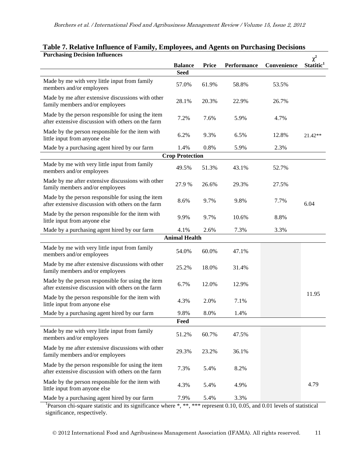| <b>Purchasing Decision Influences</b>                                                                   |                        |              |                    |             | $\chi^2$              |
|---------------------------------------------------------------------------------------------------------|------------------------|--------------|--------------------|-------------|-----------------------|
|                                                                                                         | <b>Balance</b>         | <b>Price</b> | <b>Performance</b> | Convenience | Statitic <sup>1</sup> |
|                                                                                                         | <b>Seed</b>            |              |                    |             |                       |
| Made by me with very little input from family<br>members and/or employees                               | 57.0%                  | 61.9%        | 58.8%              | 53.5%       |                       |
| Made by me after extensive discussions with other<br>family members and/or employees                    | 28.1%                  | 20.3%        | 22.9%              | 26.7%       |                       |
| Made by the person responsible for using the item<br>after extensive discussion with others on the farm | 7.2%                   | 7.6%         | 5.9%               | 4.7%        |                       |
| Made by the person responsible for the item with<br>little input from anyone else                       | 6.2%                   | 9.3%         | 6.5%               | 12.8%       | $21.42**$             |
| Made by a purchasing agent hired by our farm                                                            | 1.4%                   | 0.8%         | 5.9%               | 2.3%        |                       |
|                                                                                                         | <b>Crop Protection</b> |              |                    |             |                       |
| Made by me with very little input from family<br>members and/or employees                               | 49.5%                  | 51.3%        | 43.1%              | 52.7%       |                       |
| Made by me after extensive discussions with other<br>family members and/or employees                    | 27.9 %                 | 26.6%        | 29.3%              | 27.5%       |                       |
| Made by the person responsible for using the item<br>after extensive discussion with others on the farm | 8.6%                   | 9.7%         | 9.8%               | 7.7%        | 6.04                  |
| Made by the person responsible for the item with<br>little input from anyone else                       | 9.9%                   | 9.7%         | 10.6%              | 8.8%        |                       |
| Made by a purchasing agent hired by our farm                                                            | 4.1%                   | 2.6%         | 7.3%               | 3.3%        |                       |
|                                                                                                         | <b>Animal Health</b>   |              |                    |             |                       |
| Made by me with very little input from family<br>members and/or employees                               | 54.0%                  | 60.0%        | 47.1%              |             |                       |
| Made by me after extensive discussions with other<br>family members and/or employees                    | 25.2%                  | 18.0%        | 31.4%              |             |                       |
| Made by the person responsible for using the item<br>after extensive discussion with others on the farm | 6.7%                   | 12.0%        | 12.9%              |             |                       |
| Made by the person responsible for the item with<br>little input from anyone else                       | 4.3%                   | 2.0%         | 7.1%               |             | 11.95                 |
| Made by a purchasing agent hired by our farm                                                            | 9.8%                   | 8.0%         | 1.4%               |             |                       |
|                                                                                                         | Feed                   |              |                    |             |                       |
| Made by me with very little input from family<br>members and/or employees                               | 51.2%                  | 60.7%        | 47.5%              |             |                       |
| Made by me after extensive discussions with other<br>family members and/or employees                    | 29.3%                  | 23.2%        | 36.1%              |             |                       |
| Made by the person responsible for using the item<br>after extensive discussion with others on the farm | 7.3%                   | 5.4%         | 8.2%               |             |                       |
| Made by the person responsible for the item with<br>little input from anyone else                       | 4.3%                   | 5.4%         | 4.9%               |             | 4.79                  |
| Made by a purchasing agent hired by our farm                                                            | 7.9%                   | 5.4%         | 3.3%               |             |                       |

# **Table 7. Relative Influence of Family, Employees, and Agents on Purchasing Decisions**

<sup>1</sup>Pearson chi-square statistic and its significance where \*, \*\*, \*\*\* represent 0.10, 0.05, and 0.01 levels of statistical significance, respectively.

2012 International Food and Agribusiness Management Association (IFAMA). All rights reserved. 11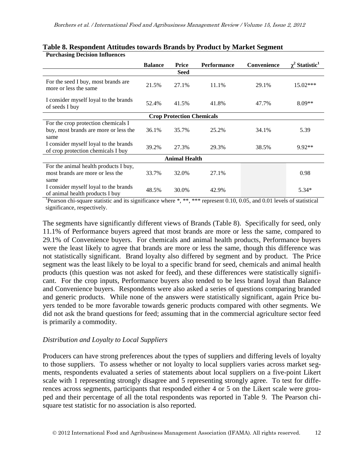| I di chasing Decision Influences                                                     |                |                                  |                    |             |                                   |  |  |  |  |
|--------------------------------------------------------------------------------------|----------------|----------------------------------|--------------------|-------------|-----------------------------------|--|--|--|--|
|                                                                                      | <b>Balance</b> | Price                            | <b>Performance</b> | Convenience | $\gamma^2$ Statistic <sup>1</sup> |  |  |  |  |
|                                                                                      |                | <b>Seed</b>                      |                    |             |                                   |  |  |  |  |
| For the seed I buy, most brands are<br>more or less the same                         | 21.5%          | 27.1%                            | 11.1%              | 29.1%       | 15.02***                          |  |  |  |  |
| I consider myself loyal to the brands<br>of seeds I buy                              | 52.4%          | 41.5%                            | 41.8%              | 47.7%       | $8.09**$                          |  |  |  |  |
|                                                                                      |                | <b>Crop Protection Chemicals</b> |                    |             |                                   |  |  |  |  |
| For the crop protection chemicals I<br>buy, most brands are more or less the<br>same | 36.1%          | 35.7%                            | 25.2%              | 34.1%       | 5.39                              |  |  |  |  |
| I consider myself loyal to the brands<br>of crop protection chemicals I buy          | 39.2%          | 27.3%                            | 29.3%              | 38.5%       | $9.92**$                          |  |  |  |  |
| <b>Animal Health</b>                                                                 |                |                                  |                    |             |                                   |  |  |  |  |
| For the animal health products I buy,<br>most brands are more or less the<br>same    | 33.7%          | 32.0%                            | 27.1%              |             | 0.98                              |  |  |  |  |
| I consider myself loyal to the brands<br>of animal health products I buy             | 48.5%          | 30.0%                            | 42.9%              |             | $5.34*$                           |  |  |  |  |

#### **Table 8. Respondent Attitudes towards Brands by Product by Market Segment Purchasing Decision Influences**

<sup>1</sup>Pearson chi-square statistic and its significance where \*, \*\*, \*\*\* represent 0.10, 0.05, and 0.01 levels of statistical significance, respectively.

The segments have significantly different views of Brands (Table 8). Specifically for seed, only 11.1% of Performance buyers agreed that most brands are more or less the same, compared to 29.1% of Convenience buyers. For chemicals and animal health products, Performance buyers were the least likely to agree that brands are more or less the same, though this difference was not statistically significant. Brand loyalty also differed by segment and by product. The Price segment was the least likely to be loyal to a specific brand for seed, chemicals and animal health products (this question was not asked for feed), and these differences were statistically significant. For the crop inputs, Performance buyers also tended to be less brand loyal than Balance and Convenience buyers. Respondents were also asked a series of questions comparing branded and generic products. While none of the answers were statistically significant, again Price buyers tended to be more favorable towards generic products compared with other segments. We did not ask the brand questions for feed; assuming that in the commercial agriculture sector feed is primarily a commodity.

# *Distribution and Loyalty to Local Suppliers*

Producers can have strong preferences about the types of suppliers and differing levels of loyalty to those suppliers. To assess whether or not loyalty to local suppliers varies across market segments, respondents evaluated a series of statements about local suppliers on a five-point Likert scale with 1 representing strongly disagree and 5 representing strongly agree. To test for differences across segments, participants that responded either 4 or 5 on the Likert scale were grouped and their percentage of all the total respondents was reported in Table 9. The Pearson chisquare test statistic for no association is also reported.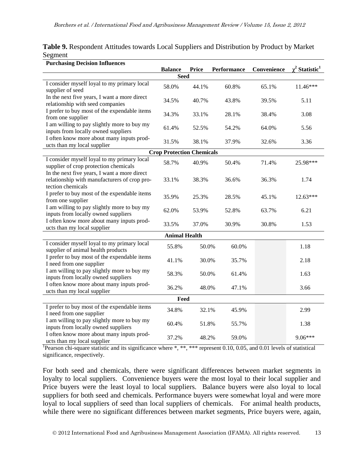| <b>Purchasing Decision Influences</b>                                                                             |                                  |              |             |             |                                 |  |  |  |  |  |
|-------------------------------------------------------------------------------------------------------------------|----------------------------------|--------------|-------------|-------------|---------------------------------|--|--|--|--|--|
|                                                                                                                   | <b>Balance</b>                   | <b>Price</b> | Performance | Convenience | $\chi^2$ Statistic <sup>1</sup> |  |  |  |  |  |
| <b>Seed</b>                                                                                                       |                                  |              |             |             |                                 |  |  |  |  |  |
| I consider myself loyal to my primary local<br>supplier of seed                                                   | 58.0%                            | 44.1%        | 60.8%       | 65.1%       | 11.46***                        |  |  |  |  |  |
| In the next five years, I want a more direct<br>relationship with seed companies                                  | 34.5%                            | 40.7%        | 43.8%       | 39.5%       | 5.11                            |  |  |  |  |  |
| I prefer to buy most of the expendable items<br>from one supplier                                                 | 34.3%                            | 33.1%        | 28.1%       | 38.4%       | 3.08                            |  |  |  |  |  |
| I am willing to pay slightly more to buy my<br>inputs from locally owned suppliers                                | 61.4%                            | 52.5%        | 54.2%       | 64.0%       | 5.56                            |  |  |  |  |  |
| I often know more about many inputs prod-<br>ucts than my local supplier                                          | 31.5%                            | 38.1%        | 37.9%       | 32.6%       | 3.36                            |  |  |  |  |  |
|                                                                                                                   | <b>Crop Protection Chemicals</b> |              |             |             |                                 |  |  |  |  |  |
| I consider myself loyal to my primary local<br>supplier of crop protection chemicals                              | 58.7%                            | 40.9%        | 50.4%       | 71.4%       | 25.98***                        |  |  |  |  |  |
| In the next five years, I want a more direct<br>relationship with manufacturers of crop pro-<br>tection chemicals | 33.1%                            | 38.3%        | 36.6%       | 36.3%       | 1.74                            |  |  |  |  |  |
| I prefer to buy most of the expendable items<br>from one supplier                                                 | 35.9%                            | 25.3%        | 28.5%       | 45.1%       | 12.63***                        |  |  |  |  |  |
| I am willing to pay slightly more to buy my<br>inputs from locally owned suppliers                                | 62.0%                            | 53.9%        | 52.8%       | 63.7%       | 6.21                            |  |  |  |  |  |
| I often know more about many inputs prod-<br>ucts than my local supplier                                          | 33.5%                            | 37.0%        | 30.9%       | 30.8%       | 1.53                            |  |  |  |  |  |
|                                                                                                                   | <b>Animal Health</b>             |              |             |             |                                 |  |  |  |  |  |
| I consider myself loyal to my primary local<br>supplier of animal health products                                 | 55.8%                            | 50.0%        | 60.0%       |             | 1.18                            |  |  |  |  |  |
| I prefer to buy most of the expendable items<br>I need from one supplier                                          | 41.1%                            | 30.0%        | 35.7%       |             | 2.18                            |  |  |  |  |  |
| I am willing to pay slightly more to buy my<br>inputs from locally owned suppliers                                | 58.3%                            | 50.0%        | 61.4%       |             | 1.63                            |  |  |  |  |  |
| I often know more about many inputs prod-<br>ucts than my local supplier                                          | 36.2%                            | 48.0%        | 47.1%       |             | 3.66                            |  |  |  |  |  |
| Feed                                                                                                              |                                  |              |             |             |                                 |  |  |  |  |  |
| I prefer to buy most of the expendable items<br>I need from one supplier                                          | 34.8%                            | 32.1%        | 45.9%       |             | 2.99                            |  |  |  |  |  |
| I am willing to pay slightly more to buy my<br>inputs from locally owned suppliers                                | 60.4%                            | 51.8%        | 55.7%       |             | 1.38                            |  |  |  |  |  |
| I often know more about many inputs prod-<br>ucts than my local supplier                                          | 37.2%                            | 48.2%        | 59.0%       |             | $9.06***$                       |  |  |  |  |  |

**Table 9.** Respondent Attitudes towards Local Suppliers and Distribution by Product by Market Segment

Pearson chi-square statistic and its significance where \*, \*\*, \*\*\* represent 0.10, 0.05, and 0.01 levels of statistical significance, respectively.

For both seed and chemicals, there were significant differences between market segments in loyalty to local suppliers. Convenience buyers were the most loyal to their local supplier and Price buyers were the least loyal to local suppliers. Balance buyers were also loyal to local suppliers for both seed and chemicals. Performance buyers were somewhat loyal and were more loyal to local suppliers of seed than local suppliers of chemicals. For animal health products, while there were no significant differences between market segments, Price buyers were, again,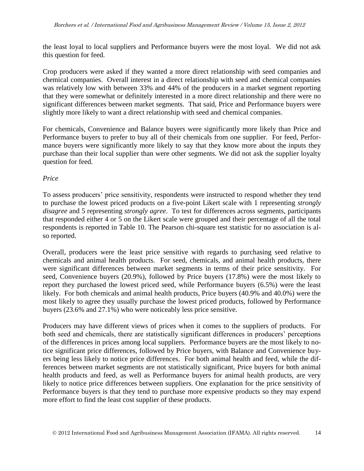the least loyal to local suppliers and Performance buyers were the most loyal. We did not ask this question for feed.

Crop producers were asked if they wanted a more direct relationship with seed companies and chemical companies. Overall interest in a direct relationship with seed and chemical companies was relatively low with between 33% and 44% of the producers in a market segment reporting that they were somewhat or definitely interested in a more direct relationship and there were no significant differences between market segments. That said, Price and Performance buyers were slightly more likely to want a direct relationship with seed and chemical companies.

For chemicals, Convenience and Balance buyers were significantly more likely than Price and Performance buyers to prefer to buy all of their chemicals from one supplier. For feed, Performance buyers were significantly more likely to say that they know more about the inputs they purchase than their local supplier than were other segments. We did not ask the supplier loyalty question for feed.

# *Price*

To assess producers' price sensitivity, respondents were instructed to respond whether they tend to purchase the lowest priced products on a five-point Likert scale with 1 representing *strongly disagree* and 5 representing *strongly agree*. To test for differences across segments, participants that responded either 4 or 5 on the Likert scale were grouped and their percentage of all the total respondents is reported in Table 10. The Pearson chi-square test statistic for no association is also reported.

Overall, producers were the least price sensitive with regards to purchasing seed relative to chemicals and animal health products. For seed, chemicals, and animal health products, there were significant differences between market segments in terms of their price sensitivity. For seed, Convenience buyers (20.9%), followed by Price buyers (17.8%) were the most likely to report they purchased the lowest priced seed, while Performance buyers (6.5%) were the least likely. For both chemicals and animal health products, Price buyers (40.9% and 40.0%) were the most likely to agree they usually purchase the lowest priced products, followed by Performance buyers (23.6% and 27.1%) who were noticeably less price sensitive.

Producers may have different views of prices when it comes to the suppliers of products. For both seed and chemicals, there are statistically significant differences in producers' perceptions of the differences in prices among local suppliers. Performance buyers are the most likely to notice significant price differences, followed by Price buyers, with Balance and Convenience buyers being less likely to notice price differences. For both animal health and feed, while the differences between market segments are not statistically significant, Price buyers for both animal health products and feed, as well as Performance buyers for animal health products, are very likely to notice price differences between suppliers. One explanation for the price sensitivity of Performance buyers is that they tend to purchase more expensive products so they may expend more effort to find the least cost supplier of these products.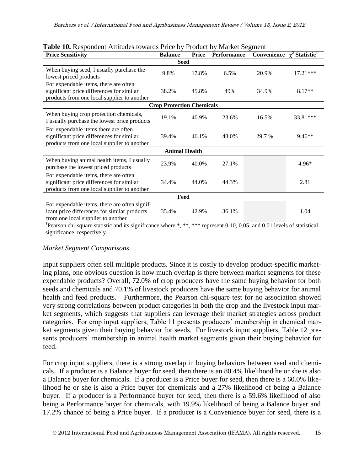| <b>Price Sensitivity</b>                                                                                                            | <b>Balance</b>                   | <b>Price</b>         | <b>Performance</b> | Convenience | Statistic <sup>1</sup> |
|-------------------------------------------------------------------------------------------------------------------------------------|----------------------------------|----------------------|--------------------|-------------|------------------------|
|                                                                                                                                     |                                  | <b>Seed</b>          |                    |             |                        |
| When buying seed, I usually purchase the<br>lowest priced products                                                                  | 9.8%                             | 17.8%                | 6.5%               | 20.9%       | 17.21***               |
| For expendable items, there are often<br>significant price differences for similar<br>products from one local supplier to another   | 38.2%                            | 45.8%                | 49%                | 34.9%       | $8.17**$               |
|                                                                                                                                     | <b>Crop Protection Chemicals</b> |                      |                    |             |                        |
| When buying crop protection chemicals,<br>I usually purchase the lowest price products                                              | 19.1%                            | 40.9%                | 23.6%              | 16.5%       | 33.81***               |
| For expendable items there are often<br>significant price differences for similar<br>products from one local supplier to another    | 39.4%                            | 46.1%                | 48.0%              | 29.7 %      | $9.46**$               |
|                                                                                                                                     |                                  | <b>Animal Health</b> |                    |             |                        |
| When buying animal health items, I usually<br>purchase the lowest priced products                                                   | 23.9%                            | 40.0%                | 27.1%              |             | $4.96*$                |
| For expendable items, there are often<br>significant price differences for similar<br>products from one local supplier to another   | 34.4%                            | 44.0%                | 44.3%              |             | 2.81                   |
|                                                                                                                                     |                                  | Feed                 |                    |             |                        |
| For expendable items, there are often signif-<br>icant price differences for similar products<br>from one local supplier to another | 35.4%                            | 42.9%                | 36.1%              |             | 1.04                   |

|  | Table 10. Respondent Attitudes towards Price by Product by Market Segment |  |  |  |
|--|---------------------------------------------------------------------------|--|--|--|
|  |                                                                           |  |  |  |

Pearson chi-square statistic and its significance where \*, \*\*, \*\*\* represent 0.10, 0.05, and 0.01 levels of statistical significance, respectively.

## *Market Segment Comparisons*

Input suppliers often sell multiple products. Since it is costly to develop product-specific marketing plans, one obvious question is how much overlap is there between market segments for these expendable products? Overall, 72.0% of crop producers have the same buying behavior for both seeds and chemicals and 70.1% of livestock producers have the same buying behavior for animal health and feed products. Furthermore, the Pearson chi-square test for no association showed very strong correlations between product categories in both the crop and the livestock input market segments, which suggests that suppliers can leverage their market strategies across product categories. For crop input suppliers, Table 11 presents producers' membership in chemical market segments given their buying behavior for seeds. For livestock input suppliers, Table 12 presents producers' membership in animal health market segments given their buying behavior for feed.

For crop input suppliers, there is a strong overlap in buying behaviors between seed and chemicals. If a producer is a Balance buyer for seed, then there is an 80.4% likelihood he or she is also a Balance buyer for chemicals. If a producer is a Price buyer for seed, then there is a 60.0% likelihood he or she is also a Price buyer for chemicals and a 27% likelihood of being a Balance buyer. If a producer is a Performance buyer for seed, then there is a 59.6% likelihood of also being a Performance buyer for chemicals, with 19.9% likelihood of being a Balance buyer and 17.2% chance of being a Price buyer. If a producer is a Convenience buyer for seed, there is a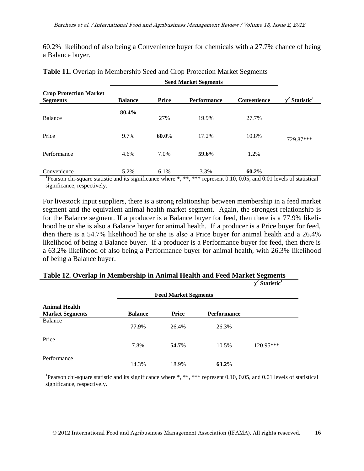60.2% likelihood of also being a Convenience buyer for chemicals with a 27.7% chance of being a Balance buyer.

| <b>Crop Protection Market</b><br><b>Segments</b> | <b>Balance</b> | <b>Price</b> | <b>Performance</b> | Convenience | $\chi^2$ Statistic <sup>1</sup> |
|--------------------------------------------------|----------------|--------------|--------------------|-------------|---------------------------------|
| Balance                                          | 80.4%          | 27%          | 19.9%              | 27.7%       |                                 |
| Price                                            | 9.7%           | 60.0%        | 17.2%              | 10.8%       | 729.87***                       |
| Performance                                      | 4.6%           | 7.0%         | 59.6%              | 1.2%        |                                 |
| Convenience                                      | 5.2%           | 6.1%         | 3.3%               | 60.2%       |                                 |

#### **Table 11.** Overlap in Membership Seed and Crop Protection Market Segments

<sup>1</sup>Pearson chi-square statistic and its significance where \*, \*\*, \*\*\* represent 0.10, 0.05, and 0.01 levels of statistical significance, respectively.

For livestock input suppliers, there is a strong relationship between membership in a feed market segment and the equivalent animal health market segment. Again, the strongest relationship is for the Balance segment. If a producer is a Balance buyer for feed, then there is a 77.9% likelihood he or she is also a Balance buyer for animal health. If a producer is a Price buyer for feed, then there is a 54.7% likelihood he or she is also a Price buyer for animal health and a 26.4% likelihood of being a Balance buyer. If a producer is a Performance buyer for feed, then there is a 63.2% likelihood of also being a Performance buyer for animal health, with 26.3% likelihood of being a Balance buyer.

|                                                |                             |              |             | $\chi^2$ Statistic <sup>1</sup> |
|------------------------------------------------|-----------------------------|--------------|-------------|---------------------------------|
|                                                | <b>Feed Market Segments</b> |              |             |                                 |
| <b>Animal Health</b><br><b>Market Segments</b> | <b>Balance</b>              | <b>Price</b> | Performance |                                 |
| Balance                                        | 77.9%                       | 26.4%        | 26.3%       |                                 |
| Price                                          | 7.8%                        | 54.7%        | 10.5%       | 120.95***                       |
| Performance                                    | 14.3%                       | 18.9%        | 63.2%       |                                 |

### **Table 12. Overlap in Membership in Animal Health and Feed Market Segments**

<sup>1</sup>Pearson chi-square statistic and its significance where \*, \*\*, \*\*\* represent 0.10, 0.05, and 0.01 levels of statistical significance, respectively.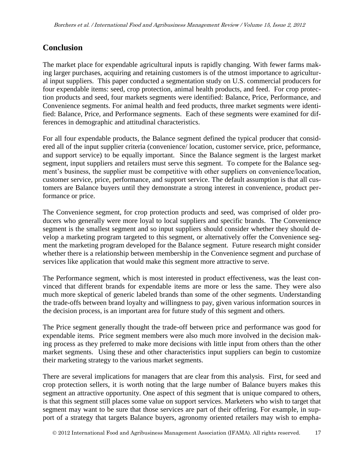# **Conclusion**

The market place for expendable agricultural inputs is rapidly changing. With fewer farms making larger purchases, acquiring and retaining customers is of the utmost importance to agricultural input suppliers. This paper conducted a segmentation study on U.S. commercial producers for four expendable items: seed, crop protection, animal health products, and feed. For crop protection products and seed, four markets segments were identified: Balance, Price, Performance, and Convenience segments. For animal health and feed products, three market segments were identified: Balance, Price, and Performance segments. Each of these segments were examined for differences in demographic and attitudinal characteristics.

For all four expendable products, the Balance segment defined the typical producer that considered all of the input supplier criteria (convenience/ location, customer service, price, peformance, and support service) to be equally important. Since the Balance segment is the largest market segment, input suppliers and retailers must serve this segment. To compete for the Balance segment's business, the supplier must be competitive with other suppliers on convenience/location, customer service, price, performance, and support service. The default assumption is that all customers are Balance buyers until they demonstrate a strong interest in convenience, product performance or price.

The Convenience segment, for crop protection products and seed, was comprised of older producers who generally were more loyal to local suppliers and specific brands. The Convenience segment is the smallest segment and so input suppliers should consider whether they should develop a marketing program targeted to this segment, or alternatively offer the Convenience segment the marketing program developed for the Balance segment. Future research might consider whether there is a relationship between membership in the Convenience segment and purchase of services like application that would make this segment more attractive to serve.

The Performance segment, which is most interested in product effectiveness, was the least convinced that different brands for expendable items are more or less the same. They were also much more skeptical of generic labeled brands than some of the other segments. Understanding the trade-offs between brand loyalty and willingness to pay, given various information sources in the decision process, is an important area for future study of this segment and others.

The Price segment generally thought the trade-off between price and performance was good for expendable items. Price segment members were also much more involved in the decision making process as they preferred to make more decisions with little input from others than the other market segments. Using these and other characteristics input suppliers can begin to customize their marketing strategy to the various market segments.

There are several implications for managers that are clear from this analysis. First, for seed and crop protection sellers, it is worth noting that the large number of Balance buyers makes this segment an attractive opportunity. One aspect of this segment that is unique compared to others, is that this segment still places some value on support services. Marketers who wish to target that segment may want to be sure that those services are part of their offering. For example, in support of a strategy that targets Balance buyers, agronomy oriented retailers may wish to empha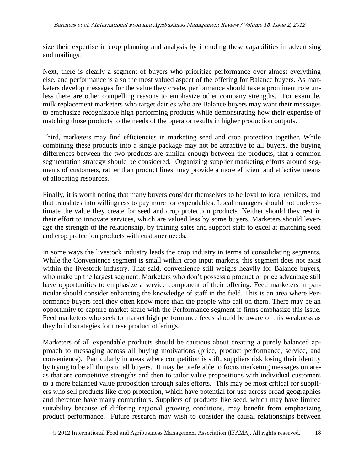size their expertise in crop planning and analysis by including these capabilities in advertising and mailings.

Next, there is clearly a segment of buyers who prioritize performance over almost everything else, and performance is also the most valued aspect of the offering for Balance buyers. As marketers develop messages for the value they create, performance should take a prominent role unless there are other compelling reasons to emphasize other company strengths. For example, milk replacement marketers who target dairies who are Balance buyers may want their messages to emphasize recognizable high performing products while demonstrating how their expertise of matching those products to the needs of the operator results in higher production outputs.

Third, marketers may find efficiencies in marketing seed and crop protection together. While combining these products into a single package may not be attractive to all buyers, the buying differences between the two products are similar enough between the products, that a common segmentation strategy should be considered. Organizing supplier marketing efforts around segments of customers, rather than product lines, may provide a more efficient and effective means of allocating resources.

Finally, it is worth noting that many buyers consider themselves to be loyal to local retailers, and that translates into willingness to pay more for expendables. Local managers should not underestimate the value they create for seed and crop protection products. Neither should they rest in their effort to innovate services, which are valued less by some buyers. Marketers should leverage the strength of the relationship, by training sales and support staff to excel at matching seed and crop protection products with customer needs.

In some ways the livestock industry leads the crop industry in terms of consolidating segments. While the Convenience segment is small within crop input markets, this segment does not exist within the livestock industry. That said, convenience still weighs heavily for Balance buyers, who make up the largest segment. Marketers who don't possess a product or price advantage still have opportunities to emphasize a service component of their offering. Feed marketers in particular should consider enhancing the knowledge of staff in the field. This is an area where Performance buyers feel they often know more than the people who call on them. There may be an opportunity to capture market share with the Performance segment if firms emphasize this issue. Feed marketers who seek to market high performance feeds should be aware of this weakness as they build strategies for these product offerings.

Marketers of all expendable products should be cautious about creating a purely balanced approach to messaging across all buying motivations (price, product performance, service, and convenience). Particularly in areas where competition is stiff, suppliers risk losing their identity by trying to be all things to all buyers. It may be preferable to focus marketing messages on areas that are competitive strengths and then to tailor value propositions with individual customers to a more balanced value proposition through sales efforts. This may be most critical for suppliers who sell products like crop protection, which have potential for use across broad geographies and therefore have many competitors. Suppliers of products like seed, which may have limited suitability because of differing regional growing conditions, may benefit from emphasizing product performance. Future research may wish to consider the causal relationships between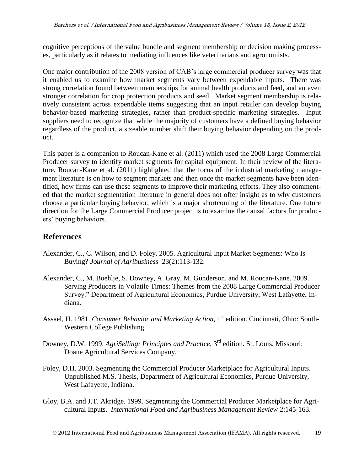cognitive perceptions of the value bundle and segment membership or decision making processes, particularly as it relates to mediating influences like veterinarians and agronomists.

One major contribution of the 2008 version of CAB's large commercial producer survey was that it enabled us to examine how market segments vary between expendable inputs. There was strong correlation found between memberships for animal health products and feed, and an even stronger correlation for crop protection products and seed. Market segment membership is relatively consistent across expendable items suggesting that an input retailer can develop buying behavior-based marketing strategies, rather than product-specific marketing strategies. Input suppliers need to recognize that while the majority of customers have a defined buying behavior regardless of the product, a sizeable number shift their buying behavior depending on the product.

This paper is a companion to Roucan-Kane et al. (2011) which used the 2008 Large Commercial Producer survey to identify market segments for capital equipment. In their review of the literature, Roucan-Kane et al. (2011) highlighted that the focus of the industrial marketing management literature is on how to segment markets and then once the market segments have been identified, how firms can use these segments to improve their marketing efforts. They also commented that the market segmentation literature in general does not offer insight as to why customers choose a particular buying behavior, which is a major shortcoming of the literature. One future direction for the Large Commercial Producer project is to examine the causal factors for producers' buying behaviors.

# **References**

- Alexander, C., C. Wilson, and D. Foley. 2005. Agricultural Input Market Segments: Who Is Buying? *Journal of Agribusiness* 23(2):113-132.
- Alexander, C., M. Boehlje, S. Downey, A. Gray, M. Gunderson, and M. Roucan-Kane. 2009. Serving Producers in Volatile Times: Themes from the 2008 Large Commercial Producer Survey." Department of Agricultural Economics, Purdue University, West Lafayette, Indiana.
- Assael, H. 1981. *Consumer Behavior and Marketing Action*, 1<sup>st</sup> edition. Cincinnati, Ohio: South-Western College Publishing.
- Downey, D.W. 1999. *AgriSelling: Principles and Practice*, 3rd edition. St. Louis, Missouri: Doane Agricultural Services Company.
- Foley, D.H. 2003. Segmenting the Commercial Producer Marketplace for Agricultural Inputs. Unpublished M.S. Thesis, Department of Agricultural Economics, Purdue University, West Lafayette, Indiana.
- Gloy, B.A. and J.T. Akridge. 1999. Segmenting the Commercial Producer Marketplace for Agricultural Inputs. *International Food and Agribusiness Management Review* 2:145-163.